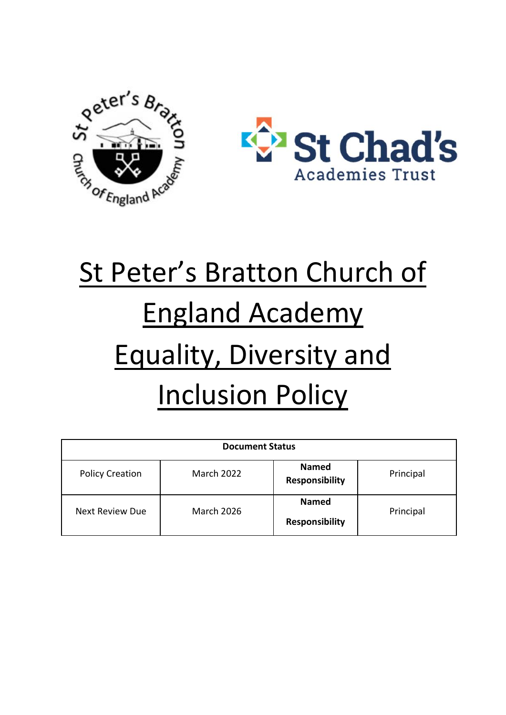



# St Peter's Bratton Church of England Academy Equality, Diversity and **Inclusion Policy**

| <b>Document Status</b> |                   |                                       |           |
|------------------------|-------------------|---------------------------------------|-----------|
| <b>Policy Creation</b> | <b>March 2022</b> | <b>Named</b><br><b>Responsibility</b> | Principal |
| <b>Next Review Due</b> | <b>March 2026</b> | <b>Named</b><br><b>Responsibility</b> | Principal |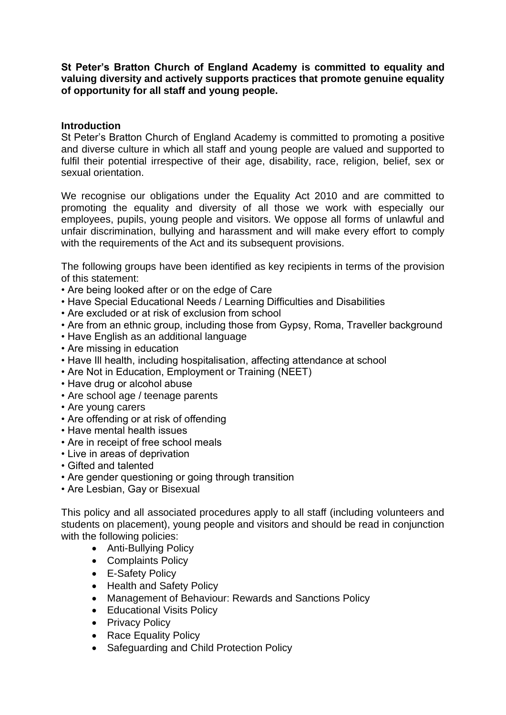**St Peter's Bratton Church of England Academy is committed to equality and valuing diversity and actively supports practices that promote genuine equality of opportunity for all staff and young people.** 

#### **Introduction**

St Peter's Bratton Church of England Academy is committed to promoting a positive and diverse culture in which all staff and young people are valued and supported to fulfil their potential irrespective of their age, disability, race, religion, belief, sex or sexual orientation.

We recognise our obligations under the Equality Act 2010 and are committed to promoting the equality and diversity of all those we work with especially our employees, pupils, young people and visitors. We oppose all forms of unlawful and unfair discrimination, bullying and harassment and will make every effort to comply with the requirements of the Act and its subsequent provisions.

The following groups have been identified as key recipients in terms of the provision of this statement:

- Are being looked after or on the edge of Care
- Have Special Educational Needs / Learning Difficulties and Disabilities
- Are excluded or at risk of exclusion from school
- Are from an ethnic group, including those from Gypsy, Roma, Traveller background
- Have English as an additional language
- Are missing in education
- Have Ill health, including hospitalisation, affecting attendance at school
- Are Not in Education, Employment or Training (NEET)
- Have drug or alcohol abuse
- Are school age / teenage parents
- Are young carers
- Are offending or at risk of offending
- Have mental health issues
- Are in receipt of free school meals
- Live in areas of deprivation
- Gifted and talented
- Are gender questioning or going through transition
- Are Lesbian, Gay or Bisexual

This policy and all associated procedures apply to all staff (including volunteers and students on placement), young people and visitors and should be read in conjunction with the following policies:

- Anti-Bullying Policy
- Complaints Policy
- E-Safety Policy
- Health and Safety Policy
- Management of Behaviour: Rewards and Sanctions Policy
- Educational Visits Policy
- Privacy Policy
- Race Equality Policy
- Safeguarding and Child Protection Policy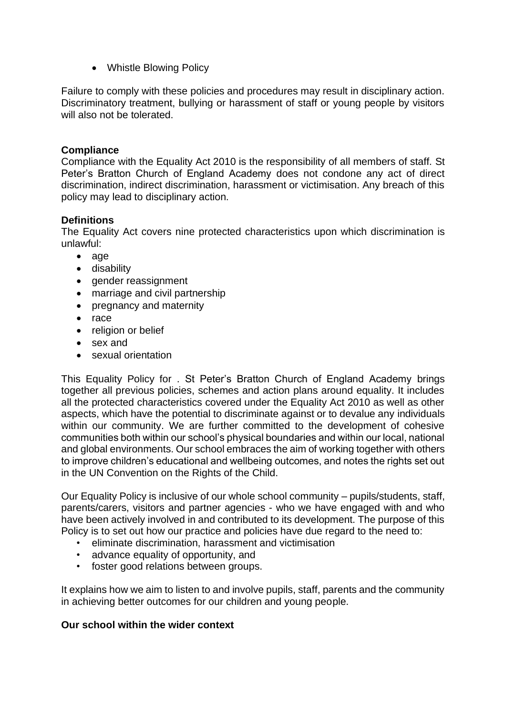• Whistle Blowing Policy

Failure to comply with these policies and procedures may result in disciplinary action. Discriminatory treatment, bullying or harassment of staff or young people by visitors will also not be tolerated.

# **Compliance**

Compliance with the Equality Act 2010 is the responsibility of all members of staff. St Peter's Bratton Church of England Academy does not condone any act of direct discrimination, indirect discrimination, harassment or victimisation. Any breach of this policy may lead to disciplinary action.

# **Definitions**

The Equality Act covers nine protected characteristics upon which discrimination is unlawful:

- age
- disability
- gender reassignment
- marriage and civil partnership
- pregnancy and maternity
- race
- religion or belief
- sex and
- sexual orientation

This Equality Policy for . St Peter's Bratton Church of England Academy brings together all previous policies, schemes and action plans around equality. It includes all the protected characteristics covered under the Equality Act 2010 as well as other aspects, which have the potential to discriminate against or to devalue any individuals within our community. We are further committed to the development of cohesive communities both within our school's physical boundaries and within our local, national and global environments. Our school embraces the aim of working together with others to improve children's educational and wellbeing outcomes, and notes the rights set out in the UN Convention on the Rights of the Child.

Our Equality Policy is inclusive of our whole school community – pupils/students, staff, parents/carers, visitors and partner agencies - who we have engaged with and who have been actively involved in and contributed to its development. The purpose of this Policy is to set out how our practice and policies have due regard to the need to:

- eliminate discrimination, harassment and victimisation
- advance equality of opportunity, and
- foster good relations between groups.

It explains how we aim to listen to and involve pupils, staff, parents and the community in achieving better outcomes for our children and young people.

# **Our school within the wider context**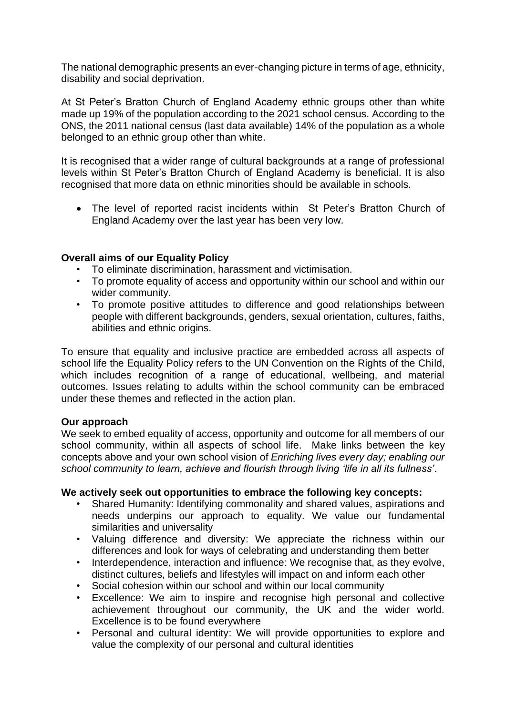The national demographic presents an ever-changing picture in terms of age, ethnicity, disability and social deprivation.

At St Peter's Bratton Church of England Academy ethnic groups other than white made up 19% of the population according to the 2021 school census. According to the ONS, the 2011 national census (last data available) 14% of the population as a whole belonged to an ethnic group other than white.

It is recognised that a wider range of cultural backgrounds at a range of professional levels within St Peter's Bratton Church of England Academy is beneficial. It is also recognised that more data on ethnic minorities should be available in schools.

• The level of reported racist incidents within St Peter's Bratton Church of England Academy over the last year has been very low.

# **Overall aims of our Equality Policy**

- To eliminate discrimination, harassment and victimisation.
- To promote equality of access and opportunity within our school and within our wider community.
- To promote positive attitudes to difference and good relationships between people with different backgrounds, genders, sexual orientation, cultures, faiths, abilities and ethnic origins.

To ensure that equality and inclusive practice are embedded across all aspects of school life the Equality Policy refers to the UN Convention on the Rights of the Child, which includes recognition of a range of educational, wellbeing, and material outcomes. Issues relating to adults within the school community can be embraced under these themes and reflected in the action plan.

# **Our approach**

We seek to embed equality of access, opportunity and outcome for all members of our school community, within all aspects of school life. Make links between the key concepts above and your own school vision of *Enriching lives every day; enabling our school community to learn, achieve and flourish through living 'life in all its fullness'*.

# **We actively seek out opportunities to embrace the following key concepts:**

- Shared Humanity: Identifying commonality and shared values, aspirations and needs underpins our approach to equality. We value our fundamental similarities and universality
- Valuing difference and diversity: We appreciate the richness within our differences and look for ways of celebrating and understanding them better
- Interdependence, interaction and influence: We recognise that, as they evolve, distinct cultures, beliefs and lifestyles will impact on and inform each other
- Social cohesion within our school and within our local community
- Excellence: We aim to inspire and recognise high personal and collective achievement throughout our community, the UK and the wider world. Excellence is to be found everywhere
- Personal and cultural identity: We will provide opportunities to explore and value the complexity of our personal and cultural identities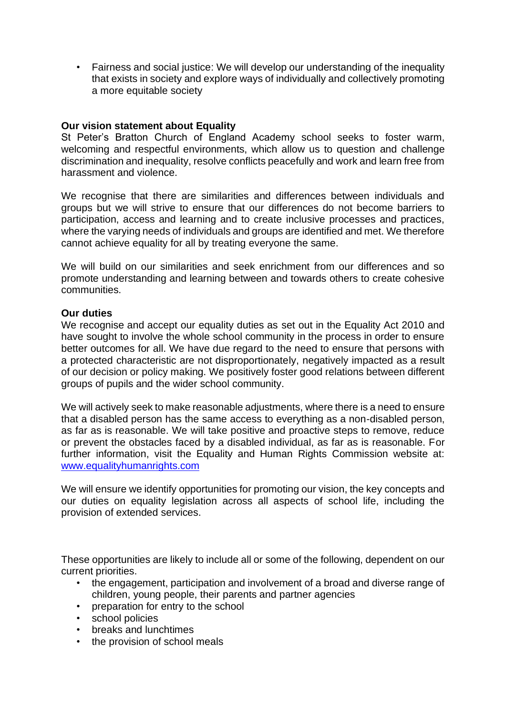• Fairness and social justice: We will develop our understanding of the inequality that exists in society and explore ways of individually and collectively promoting a more equitable society

#### **Our vision statement about Equality**

St Peter's Bratton Church of England Academy school seeks to foster warm, welcoming and respectful environments, which allow us to question and challenge discrimination and inequality, resolve conflicts peacefully and work and learn free from harassment and violence.

We recognise that there are similarities and differences between individuals and groups but we will strive to ensure that our differences do not become barriers to participation, access and learning and to create inclusive processes and practices, where the varying needs of individuals and groups are identified and met. We therefore cannot achieve equality for all by treating everyone the same.

We will build on our similarities and seek enrichment from our differences and so promote understanding and learning between and towards others to create cohesive communities.

#### **Our duties**

We recognise and accept our equality duties as set out in the Equality Act 2010 and have sought to involve the whole school community in the process in order to ensure better outcomes for all. We have due regard to the need to ensure that persons with a protected characteristic are not disproportionately, negatively impacted as a result of our decision or policy making. We positively foster good relations between different groups of pupils and the wider school community.

We will actively seek to make reasonable adjustments, where there is a need to ensure that a disabled person has the same access to everything as a non-disabled person, as far as is reasonable. We will take positive and proactive steps to remove, reduce or prevent the obstacles faced by a disabled individual, as far as is reasonable. For further information, visit the Equality and Human Rights Commission website at: [www.equalityhumanrights.com](http://www.equalityhumanrights.com/)

We will ensure we identify opportunities for promoting our vision, the key concepts and our duties on equality legislation across all aspects of school life, including the provision of extended services.

These opportunities are likely to include all or some of the following, dependent on our current priorities.

- the engagement, participation and involvement of a broad and diverse range of children, young people, their parents and partner agencies
- preparation for entry to the school
- school policies
- breaks and lunchtimes
- the provision of school meals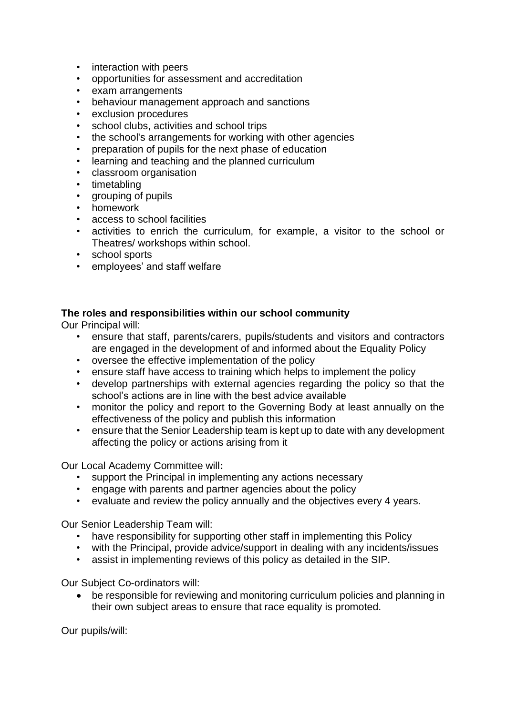- interaction with peers
- opportunities for assessment and accreditation
- exam arrangements
- behaviour management approach and sanctions
- exclusion procedures
- school clubs, activities and school trips
- the school's arrangements for working with other agencies
- preparation of pupils for the next phase of education
- learning and teaching and the planned curriculum
- classroom organisation
- timetabling
- grouping of pupils
- homework
- access to school facilities
- activities to enrich the curriculum, for example, a visitor to the school or Theatres/ workshops within school.
- school sports
- employees' and staff welfare

#### **The roles and responsibilities within our school community**

Our Principal will:

- ensure that staff, parents/carers, pupils/students and visitors and contractors are engaged in the development of and informed about the Equality Policy
- oversee the effective implementation of the policy
- ensure staff have access to training which helps to implement the policy
- develop partnerships with external agencies regarding the policy so that the school's actions are in line with the best advice available
- monitor the policy and report to the Governing Body at least annually on the effectiveness of the policy and publish this information
- ensure that the Senior Leadership team is kept up to date with any development affecting the policy or actions arising from it

Our Local Academy Committee will**:** 

- support the Principal in implementing any actions necessary
- engage with parents and partner agencies about the policy
- evaluate and review the policy annually and the objectives every 4 years.

Our Senior Leadership Team will:

- have responsibility for supporting other staff in implementing this Policy
- with the Principal, provide advice/support in dealing with any incidents/issues
- assist in implementing reviews of this policy as detailed in the SIP.

Our Subject Co-ordinators will:

• be responsible for reviewing and monitoring curriculum policies and planning in their own subject areas to ensure that race equality is promoted.

Our pupils/will: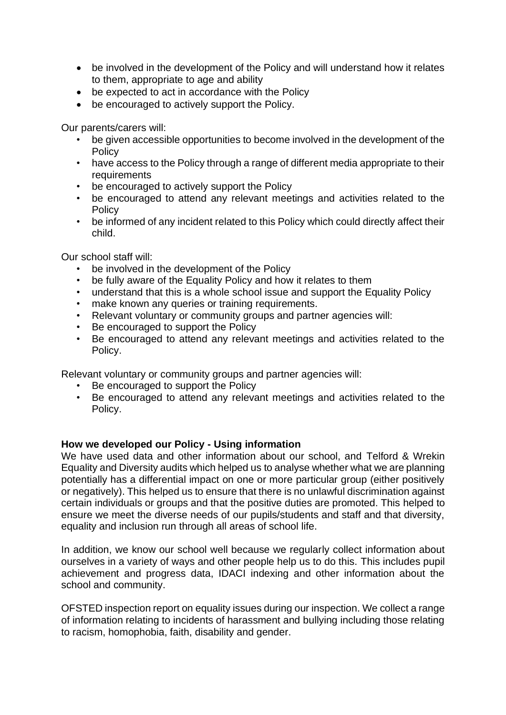- be involved in the development of the Policy and will understand how it relates to them, appropriate to age and ability
- be expected to act in accordance with the Policy
- be encouraged to actively support the Policy.

Our parents/carers will:

- be given accessible opportunities to become involved in the development of the Policy
- have access to the Policy through a range of different media appropriate to their requirements
- be encouraged to actively support the Policy
- be encouraged to attend any relevant meetings and activities related to the **Policy**
- be informed of any incident related to this Policy which could directly affect their child.

Our school staff will:

- be involved in the development of the Policy
- be fully aware of the Equality Policy and how it relates to them
- understand that this is a whole school issue and support the Equality Policy
- make known any queries or training requirements.
- Relevant voluntary or community groups and partner agencies will:
- Be encouraged to support the Policy
- Be encouraged to attend any relevant meetings and activities related to the Policy.

Relevant voluntary or community groups and partner agencies will:

- Be encouraged to support the Policy
- Be encouraged to attend any relevant meetings and activities related to the Policy.

# **How we developed our Policy - Using information**

We have used data and other information about our school, and Telford & Wrekin Equality and Diversity audits which helped us to analyse whether what we are planning potentially has a differential impact on one or more particular group (either positively or negatively). This helped us to ensure that there is no unlawful discrimination against certain individuals or groups and that the positive duties are promoted. This helped to ensure we meet the diverse needs of our pupils/students and staff and that diversity, equality and inclusion run through all areas of school life.

In addition, we know our school well because we regularly collect information about ourselves in a variety of ways and other people help us to do this. This includes pupil achievement and progress data, IDACI indexing and other information about the school and community.

OFSTED inspection report on equality issues during our inspection. We collect a range of information relating to incidents of harassment and bullying including those relating to racism, homophobia, faith, disability and gender.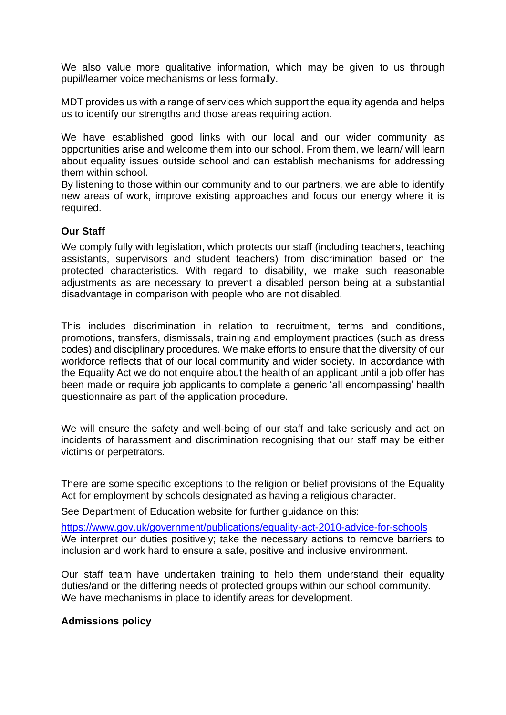We also value more qualitative information, which may be given to us through pupil/learner voice mechanisms or less formally.

MDT provides us with a range of services which support the equality agenda and helps us to identify our strengths and those areas requiring action.

We have established good links with our local and our wider community as opportunities arise and welcome them into our school. From them, we learn/ will learn about equality issues outside school and can establish mechanisms for addressing them within school.

By listening to those within our community and to our partners, we are able to identify new areas of work, improve existing approaches and focus our energy where it is required.

# **Our Staff**

We comply fully with legislation, which protects our staff (including teachers, teaching assistants, supervisors and student teachers) from discrimination based on the protected characteristics. With regard to disability, we make such reasonable adjustments as are necessary to prevent a disabled person being at a substantial disadvantage in comparison with people who are not disabled.

This includes discrimination in relation to recruitment, terms and conditions, promotions, transfers, dismissals, training and employment practices (such as dress codes) and disciplinary procedures. We make efforts to ensure that the diversity of our workforce reflects that of our local community and wider society. In accordance with the Equality Act we do not enquire about the health of an applicant until a job offer has been made or require job applicants to complete a generic 'all encompassing' health questionnaire as part of the application procedure.

We will ensure the safety and well-being of our staff and take seriously and act on incidents of harassment and discrimination recognising that our staff may be either victims or perpetrators.

There are some specific exceptions to the religion or belief provisions of the Equality Act for employment by schools designated as having a religious character.

See Department of Education website for further guidance on this:

<https://www.gov.uk/government/publications/equality-act-2010-advice-for-schools> We interpret our duties positively; take the necessary actions to remove barriers to inclusion and work hard to ensure a safe, positive and inclusive environment.

Our staff team have undertaken training to help them understand their equality duties/and or the differing needs of protected groups within our school community. We have mechanisms in place to identify areas for development.

# **Admissions policy**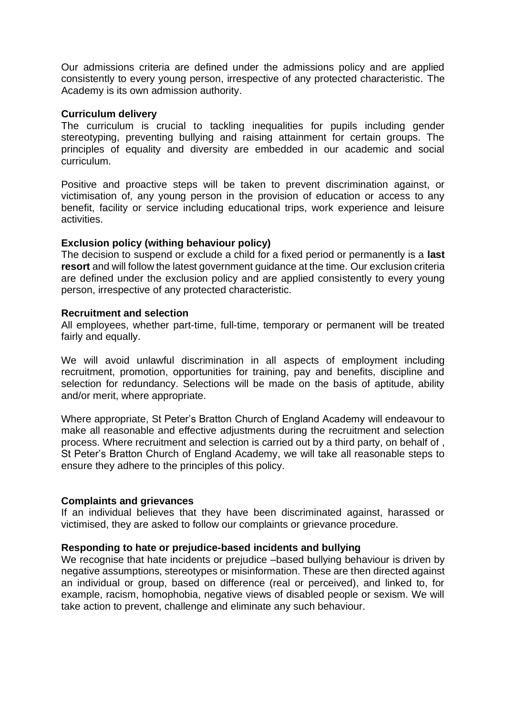Our admissions criteria are defined under the admissions policy and are applied consistently to every young person, irrespective of any protected characteristic. The Academy is its own admission authority.

#### **Curriculum delivery**

The curriculum is crucial to tackling inequalities for pupils including gender stereotyping, preventing bullying and raising attainment for certain groups. The principles of equality and diversity are embedded in our academic and social curriculum.

Positive and proactive steps will be taken to prevent discrimination against, or victimisation of, any young person in the provision of education or access to any benefit, facility or service including educational trips, work experience and leisure activities.

#### **Exclusion policy (withing behaviour policy)**

The decision to suspend or exclude a child for a fixed period or permanently is a **last resort** and will follow the latest government guidance at the time. Our exclusion criteria are defined under the exclusion policy and are applied consistently to every young person, irrespective of any protected characteristic.

#### **Recruitment and selection**

All employees, whether part-time, full-time, temporary or permanent will be treated fairly and equally.

We will avoid unlawful discrimination in all aspects of employment including recruitment, promotion, opportunities for training, pay and benefits, discipline and selection for redundancy. Selections will be made on the basis of aptitude, ability and/or merit, where appropriate.

Where appropriate, St Peter's Bratton Church of England Academy will endeavour to make all reasonable and effective adjustments during the recruitment and selection process. Where recruitment and selection is carried out by a third party, on behalf of , St Peter's Bratton Church of England Academy, we will take all reasonable steps to ensure they adhere to the principles of this policy.

#### **Complaints and grievances**

If an individual believes that they have been discriminated against, harassed or victimised, they are asked to follow our complaints or grievance procedure.

# **Responding to hate or prejudice-based incidents and bullying**

We recognise that hate incidents or prejudice –based bullying behaviour is driven by negative assumptions, stereotypes or misinformation. These are then directed against an individual or group, based on difference (real or perceived), and linked to, for example, racism, homophobia, negative views of disabled people or sexism. We will take action to prevent, challenge and eliminate any such behaviour.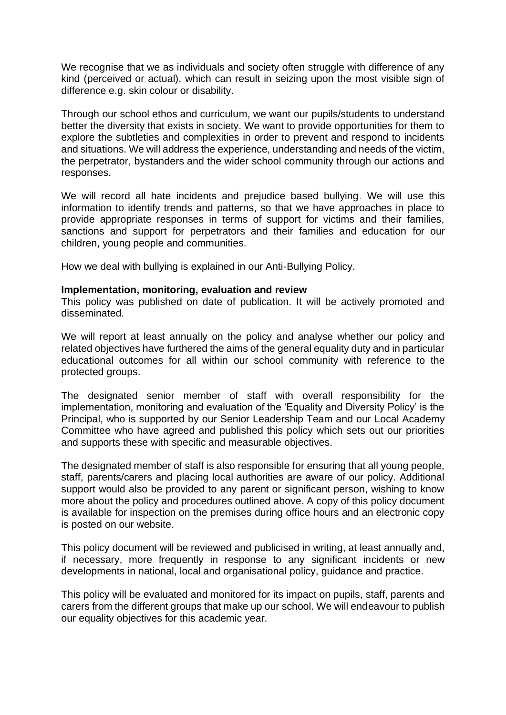We recognise that we as individuals and society often struggle with difference of any kind (perceived or actual), which can result in seizing upon the most visible sign of difference e.g. skin colour or disability.

Through our school ethos and curriculum, we want our pupils/students to understand better the diversity that exists in society. We want to provide opportunities for them to explore the subtleties and complexities in order to prevent and respond to incidents and situations. We will address the experience, understanding and needs of the victim, the perpetrator, bystanders and the wider school community through our actions and responses.

We will record all hate incidents and prejudice based bullying. We will use this information to identify trends and patterns, so that we have approaches in place to provide appropriate responses in terms of support for victims and their families, sanctions and support for perpetrators and their families and education for our children, young people and communities.

How we deal with bullying is explained in our Anti-Bullying Policy.

#### **Implementation, monitoring, evaluation and review**

This policy was published on date of publication. It will be actively promoted and disseminated.

We will report at least annually on the policy and analyse whether our policy and related objectives have furthered the aims of the general equality duty and in particular educational outcomes for all within our school community with reference to the protected groups.

The designated senior member of staff with overall responsibility for the implementation, monitoring and evaluation of the 'Equality and Diversity Policy' is the Principal, who is supported by our Senior Leadership Team and our Local Academy Committee who have agreed and published this policy which sets out our priorities and supports these with specific and measurable objectives.

The designated member of staff is also responsible for ensuring that all young people, staff, parents/carers and placing local authorities are aware of our policy. Additional support would also be provided to any parent or significant person, wishing to know more about the policy and procedures outlined above. A copy of this policy document is available for inspection on the premises during office hours and an electronic copy is posted on our website.

This policy document will be reviewed and publicised in writing, at least annually and, if necessary, more frequently in response to any significant incidents or new developments in national, local and organisational policy, guidance and practice.

This policy will be evaluated and monitored for its impact on pupils, staff, parents and carers from the different groups that make up our school. We will endeavour to publish our equality objectives for this academic year.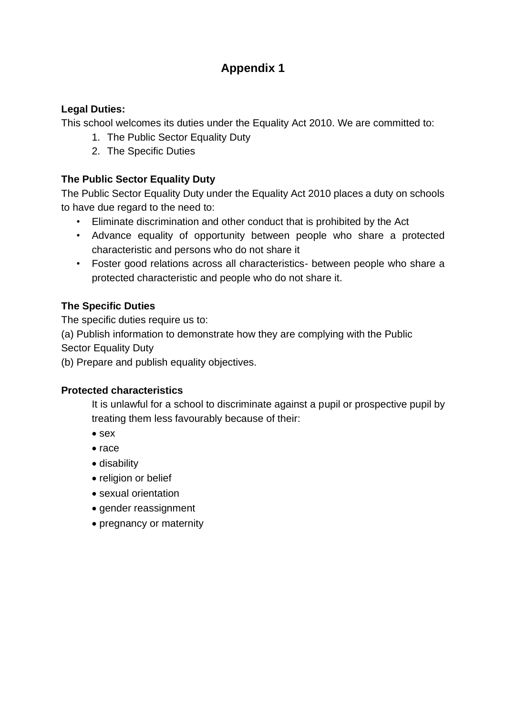# **Appendix 1**

# **Legal Duties:**

This school welcomes its duties under the Equality Act 2010. We are committed to:

- 1. The Public Sector Equality Duty
- 2. The Specific Duties

# **The Public Sector Equality Duty**

The Public Sector Equality Duty under the Equality Act 2010 places a duty on schools to have due regard to the need to:

- Eliminate discrimination and other conduct that is prohibited by the Act
- Advance equality of opportunity between people who share a protected characteristic and persons who do not share it
- Foster good relations across all characteristics- between people who share a protected characteristic and people who do not share it.

# **The Specific Duties**

The specific duties require us to:

(a) Publish information to demonstrate how they are complying with the Public Sector Equality Duty

(b) Prepare and publish equality objectives.

# **Protected characteristics**

It is unlawful for a school to discriminate against a pupil or prospective pupil by treating them less favourably because of their:

- sex
- race
- disability
- religion or belief
- sexual orientation
- gender reassignment
- pregnancy or maternity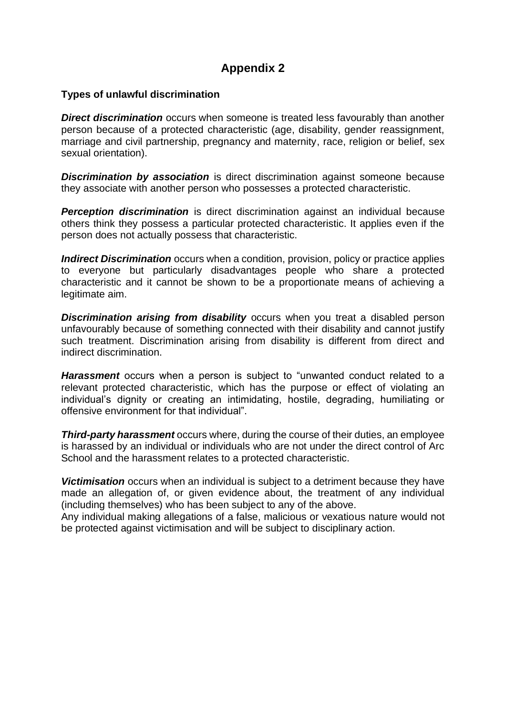# **Appendix 2**

#### **Types of unlawful discrimination**

**Direct discrimination** occurs when someone is treated less favourably than another person because of a protected characteristic (age, disability, gender reassignment, marriage and civil partnership, pregnancy and maternity, race, religion or belief, sex sexual orientation).

**Discrimination by association** is direct discrimination against someone because they associate with another person who possesses a protected characteristic.

**Perception discrimination** is direct discrimination against an individual because others think they possess a particular protected characteristic. It applies even if the person does not actually possess that characteristic.

*Indirect Discrimination* occurs when a condition, provision, policy or practice applies to everyone but particularly disadvantages people who share a protected characteristic and it cannot be shown to be a proportionate means of achieving a legitimate aim.

**Discrimination arising from disability** occurs when you treat a disabled person unfavourably because of something connected with their disability and cannot justify such treatment. Discrimination arising from disability is different from direct and indirect discrimination.

*Harassment* occurs when a person is subject to "unwanted conduct related to a relevant protected characteristic, which has the purpose or effect of violating an individual's dignity or creating an intimidating, hostile, degrading, humiliating or offensive environment for that individual".

*Third-party harassment* occurs where, during the course of their duties, an employee is harassed by an individual or individuals who are not under the direct control of Arc School and the harassment relates to a protected characteristic.

*Victimisation* occurs when an individual is subject to a detriment because they have made an allegation of, or given evidence about, the treatment of any individual (including themselves) who has been subject to any of the above.

Any individual making allegations of a false, malicious or vexatious nature would not be protected against victimisation and will be subject to disciplinary action.